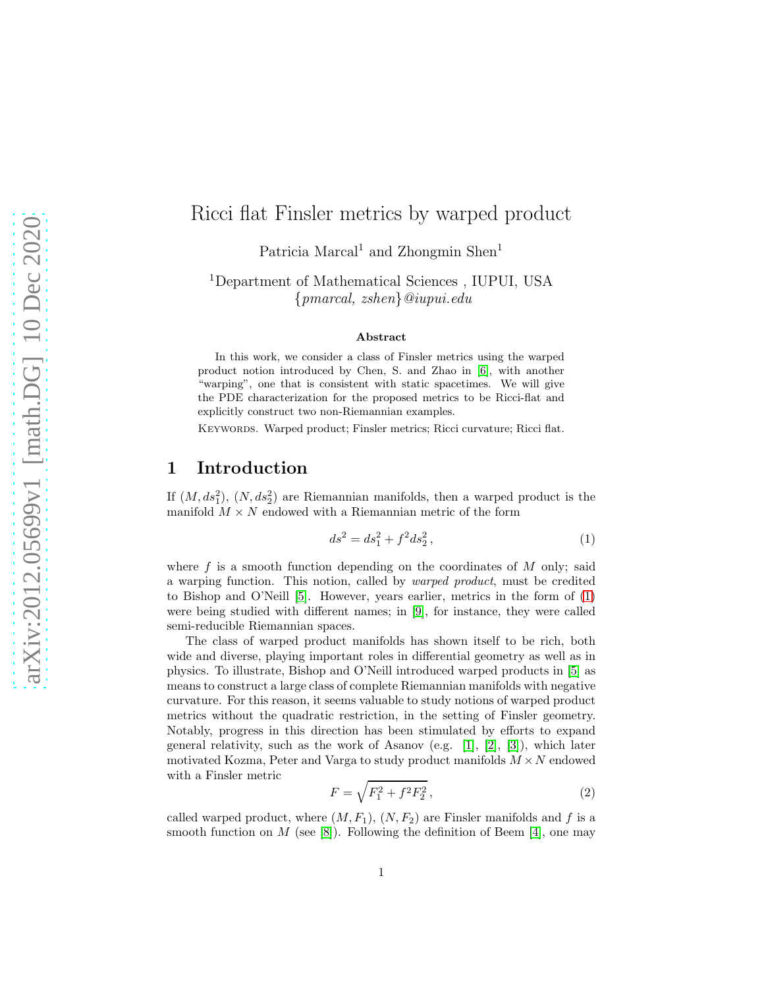## Ricci flat Finsler metrics by warped product

Patricia Marcal<sup>1</sup> and Zhongmin Shen<sup>1</sup>

<sup>1</sup>Department of Mathematical Sciences , IUPUI, USA {pmarcal, zshen}@iupui.edu

#### Abstract

In this work, we consider a class of Finsler metrics using the warped product notion introduced by Chen, S. and Zhao in [\[6\]](#page-15-0), with another "warping", one that is consistent with static spacetimes. We will give the PDE characterization for the proposed metrics to be Ricci-flat and explicitly construct two non-Riemannian examples.

KEYWORDS. Warped product; Finsler metrics; Ricci curvature; Ricci flat.

#### 1 Introduction

If  $(M, ds_1^2)$ ,  $(N, ds_2^2)$  are Riemannian manifolds, then a warped product is the manifold  $M \times N$  endowed with a Riemannian metric of the form

<span id="page-0-0"></span>
$$
ds^2 = ds_1^2 + f^2 ds_2^2, \t\t(1)
$$

where  $f$  is a smooth function depending on the coordinates of  $M$  only; said a warping function. This notion, called by warped product, must be credited to Bishop and O'Neill [\[5\]](#page-15-1). However, years earlier, metrics in the form of [\(1\)](#page-0-0) were being studied with different names; in [\[9\]](#page-15-2), for instance, they were called semi-reducible Riemannian spaces.

The class of warped product manifolds has shown itself to be rich, both wide and diverse, playing important roles in differential geometry as well as in physics. To illustrate, Bishop and O'Neill introduced warped products in [\[5\]](#page-15-1) as means to construct a large class of complete Riemannian manifolds with negative curvature. For this reason, it seems valuable to study notions of warped product metrics without the quadratic restriction, in the setting of Finsler geometry. Notably, progress in this direction has been stimulated by efforts to expand general relativity, such as the work of Asanov (e.g. [\[1\]](#page-15-3), [\[2\]](#page-15-4), [\[3\]](#page-15-5)), which later motivated Kozma, Peter and Varga to study product manifolds  $M \times N$  endowed with a Finsler metric

$$
F = \sqrt{F_1^2 + f^2 F_2^2},\tag{2}
$$

called warped product, where  $(M, F_1)$ ,  $(N, F_2)$  are Finsler manifolds and f is a smooth function on M (see [\[8\]](#page-15-6)). Following the definition of Beem [\[4\]](#page-15-7), one may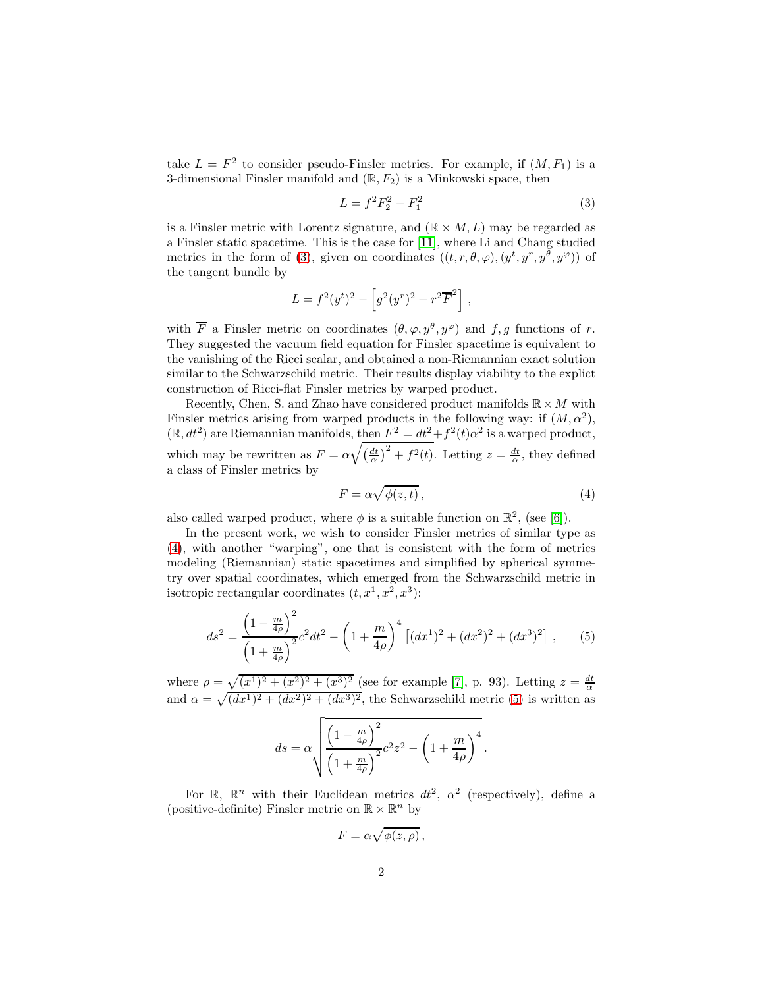take  $L = F^2$  to consider pseudo-Finsler metrics. For example, if  $(M, F_1)$  is a 3-dimensional Finsler manifold and  $(\mathbb{R}, F_2)$  is a Minkowski space, then

<span id="page-1-0"></span>
$$
L = f^2 F_2^2 - F_1^2 \tag{3}
$$

is a Finsler metric with Lorentz signature, and  $(\mathbb{R} \times M, L)$  may be regarded as a Finsler static spacetime. This is the case for [\[11\]](#page-15-8), where Li and Chang studied metrics in the form of [\(3\)](#page-1-0), given on coordinates  $((t, r, \theta, \varphi), (y^t, y^r, y^{\theta}, y^{\varphi}))$  of the tangent bundle by

$$
L = f^2(y^t)^2 - \left[g^2(y^r)^2 + r^2 \overline{F}^2\right],
$$

with  $\overline{F}$  a Finsler metric on coordinates  $(\theta, \varphi, y^{\theta}, y^{\varphi})$  and  $f, g$  functions of r. They suggested the vacuum field equation for Finsler spacetime is equivalent to the vanishing of the Ricci scalar, and obtained a non-Riemannian exact solution similar to the Schwarzschild metric. Their results display viability to the explict construction of Ricci-flat Finsler metrics by warped product.

Recently, Chen, S. and Zhao have considered product manifolds  $\mathbb{R} \times M$  with Finsler metrics arising from warped products in the following way: if  $(M, \alpha^2)$ ,  $(\mathbb{R}, dt^2)$  are Riemannian manifolds, then  $F^2 = dt^2 + f^2(t) \alpha^2$  is a warped product, which may be rewritten as  $F = \alpha \sqrt{\left(\frac{dt}{\alpha}\right)^2 + f^2(t)}$ . Letting  $z = \frac{dt}{\alpha}$ , they defined a class of Finsler metrics by

<span id="page-1-2"></span><span id="page-1-1"></span>
$$
F = \alpha \sqrt{\phi(z, t)},\tag{4}
$$

also called warped product, where  $\phi$  is a suitable function on  $\mathbb{R}^2$ , (see [\[6\]](#page-15-0)).

In the present work, we wish to consider Finsler metrics of similar type as [\(4\)](#page-1-1), with another "warping", one that is consistent with the form of metrics modeling (Riemannian) static spacetimes and simplified by spherical symmetry over spatial coordinates, which emerged from the Schwarzschild metric in isotropic rectangular coordinates  $(t, x^1, x^2, x^3)$ :

$$
ds^{2} = \frac{\left(1 - \frac{m}{4\rho}\right)^{2}}{\left(1 + \frac{m}{4\rho}\right)^{2}}c^{2}dt^{2} - \left(1 + \frac{m}{4\rho}\right)^{4}\left[(dx^{1})^{2} + (dx^{2})^{2} + (dx^{3})^{2}\right],
$$
 (5)

where  $\rho = \sqrt{(x^1)^2 + (x^2)^2 + (x^3)^2}$  (see for example [\[7\]](#page-15-9), p. 93). Letting  $z = \frac{dt}{\alpha}$ and  $\alpha = \sqrt{((dx^1)^2 + (dx^2)^2 + (dx^3)^2)}$ , the Schwarzschild metric [\(5\)](#page-1-2) is written as

$$
ds = \alpha \sqrt{\frac{\left(1 - \frac{m}{4\rho}\right)^2}{\left(1 + \frac{m}{4\rho}\right)^2}} c^2 z^2 - \left(1 + \frac{m}{4\rho}\right)^4.
$$

For  $\mathbb{R}$ ,  $\mathbb{R}^n$  with their Euclidean metrics  $dt^2$ ,  $\alpha^2$  (respectively), define a (positive-definite) Finsler metric on  $\mathbb{R}\times \mathbb{R}^n$  by

$$
F = \alpha \sqrt{\phi(z, \rho)},
$$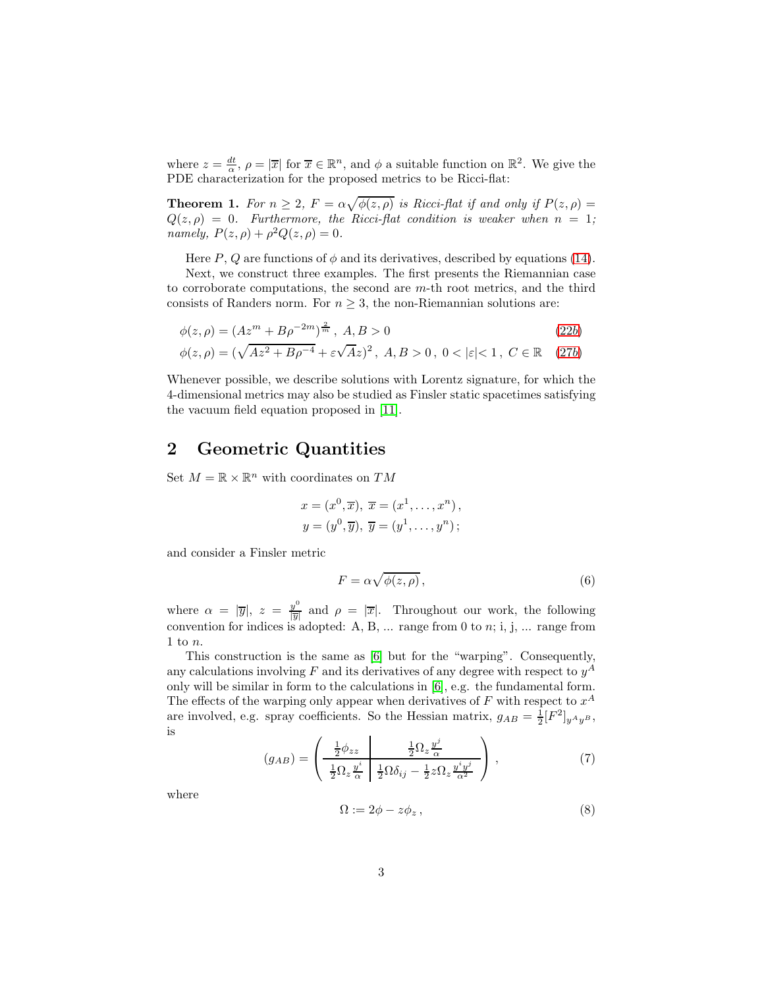where  $z = \frac{dt}{\alpha}$ ,  $\rho = |\overline{x}|$  for  $\overline{x} \in \mathbb{R}^n$ , and  $\phi$  a suitable function on  $\mathbb{R}^2$ . We give the PDE characterization for the proposed metrics to be Ricci-flat:

<span id="page-2-0"></span>**Theorem 1.** For  $n \geq 2$ ,  $F = \alpha \sqrt{\phi(z,\rho)}$  is Ricci-flat if and only if  $P(z,\rho) =$  $Q(z, \rho) = 0$ . Furthermore, the Ricci-flat condition is weaker when  $n = 1$ ; namely,  $P(z, \rho) + \rho^2 Q(z, \rho) = 0$ .

Here P, Q are functions of  $\phi$  and its derivatives, described by equations [\(14\)](#page-3-0).

Next, we construct three examples. The first presents the Riemannian case to corroborate computations, the second are m-th root metrics, and the third consists of Randers norm. For  $n \geq 3$ , the non-Riemannian solutions are:

$$
\phi(z,\rho) = (Az^m + B\rho^{-2m})^{\frac{2}{m}}, \ A, B > 0 \tag{22b}
$$

$$
\phi(z,\rho) = (\sqrt{Az^2 + B\rho^{-4}} + \varepsilon\sqrt{A}z)^2, \ A, B > 0, \ 0 < |\varepsilon| < 1, \ C \in \mathbb{R} \quad (27b)
$$

Whenever possible, we describe solutions with Lorentz signature, for which the 4-dimensional metrics may also be studied as Finsler static spacetimes satisfying the vacuum field equation proposed in [\[11\]](#page-15-8).

### 2 Geometric Quantities

Set  $M = \mathbb{R} \times \mathbb{R}^n$  with coordinates on  $TM$ 

$$
x = (x0, \overline{x}), \overline{x} = (x1, \dots, xn),
$$
  

$$
y = (y0, \overline{y}), \overline{y} = (y1, \dots, yn);
$$

and consider a Finsler metric

$$
F = \alpha \sqrt{\phi(z, \rho)},\tag{6}
$$

where  $\alpha = |\overline{y}|, z = \frac{y^0}{|\overline{y}|}$  $\frac{y^*}{|\overline{y}|}$  and  $\rho = |\overline{x}|$ . Throughout our work, the following convention for indices is adopted: A, B, ... range from 0 to  $n$ ; i, j, ... range from 1 to  $n$ .

This construction is the same as [\[6\]](#page-15-0) but for the "warping". Consequently, any calculations involving F and its derivatives of any degree with respect to  $y^A$ only will be similar in form to the calculations in [\[6\]](#page-15-0), e.g. the fundamental form. The effects of the warping only appear when derivatives of F with respect to  $x^A$ are involved, e.g. spray coefficients. So the Hessian matrix,  $g_{AB} = \frac{1}{2} [F^2]_{y^A y^B}$ , is

$$
(g_{AB}) = \left(\begin{array}{c|c}\n\frac{1}{2}\phi_{zz} & \frac{1}{2}\Omega_z \frac{y^j}{\alpha} \\
\frac{1}{2}\Omega_z \frac{y^i}{\alpha} & \frac{1}{2}\Omega \delta_{ij} - \frac{1}{2}z\Omega_z \frac{y^i y^j}{\alpha^2}\n\end{array}\right),
$$
\n(7)

where

$$
\Omega := 2\phi - z\phi_z \,,\tag{8}
$$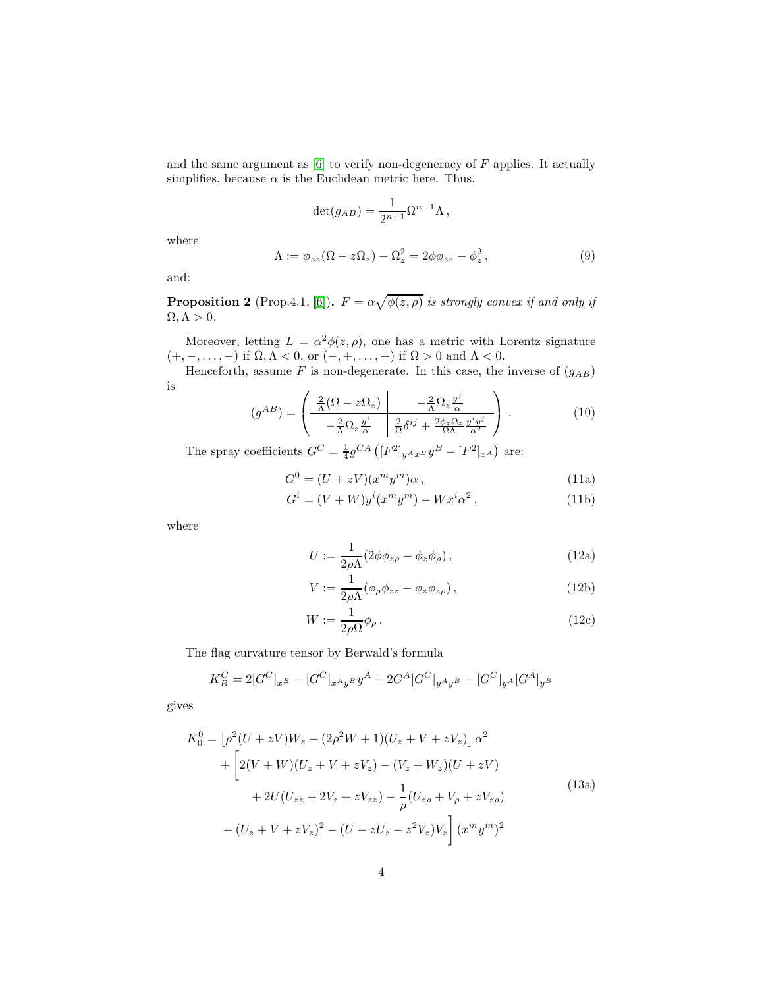and the same argument as  $[6]$  to verify non-degeneracy of  $F$  applies. It actually simplifies, because  $\alpha$  is the Euclidean metric here. Thus,

$$
\det(g_{AB}) = \frac{1}{2^{n+1}} \Omega^{n-1} \Lambda \,,
$$

where

$$
\Lambda := \phi_{zz}(\Omega - z\Omega_z) - \Omega_z^2 = 2\phi\phi_{zz} - \phi_z^2, \qquad (9)
$$

and:

**Proposition 2** (Prop.4.1, [\[6\]](#page-15-0)).  $F = \alpha \sqrt{\phi(z,\rho)}$  is strongly convex if and only if  $\Omega, \Lambda > 0.$ 

Moreover, letting  $L = \alpha^2 \phi(z, \rho)$ , one has a metric with Lorentz signature  $(+,-,\ldots,-)$  if  $\Omega, \Lambda < 0$ , or  $(-, +,\ldots,+)$  if  $\Omega > 0$  and  $\Lambda < 0$ .

Henceforth, assume  $F$  is non-degenerate. In this case, the inverse of  $(g_{AB})$ is

$$
(g^{AB}) = \left(\begin{array}{c|c}\n\frac{2}{\Lambda}(\Omega - z\Omega_z) & -\frac{2}{\Lambda}\Omega_z \frac{y^j}{\alpha} \\
-\frac{2}{\Lambda}\Omega_z \frac{y^i}{\alpha} & \frac{2}{\Omega}\delta^{ij} + \frac{2\phi_z \Omega_z}{\Omega\Lambda} \frac{y^i y^j}{\alpha^2}\n\end{array}\right).
$$
\n(10)

The spray coefficients  $G^C = \frac{1}{4} g^{CA} ([F^2]_{y^A x^B} y^B - [F^2]_{x^A})$  are:

$$
G^{0} = (U + zV)(x^{m}y^{m})\alpha, \qquad (11a)
$$

$$
G^i = (V + W)y^i(x^m y^m) - Wx^i \alpha^2, \qquad (11b)
$$

where

$$
U := \frac{1}{2\rho\Lambda} (2\phi\phi_{z\rho} - \phi_z\phi_\rho) , \qquad (12a)
$$

<span id="page-3-0"></span>
$$
V := \frac{1}{2\rho\Lambda} (\phi_{\rho}\phi_{zz} - \phi_z\phi_{z\rho}), \qquad (12b)
$$

$$
W := \frac{1}{2\rho\Omega} \phi_{\rho} \,. \tag{12c}
$$

The flag curvature tensor by Berwald's formula

$$
K_B^C = 2[G^C]_{x^B} - [G^C]_{x^Ay^B}y^A + 2G^A[G^C]_{y^Ay^B} - [G^C]_{y^A}[G^A]_{y^B}
$$

gives

$$
K_0^0 = \left[\rho^2 (U + zV)W_z - (2\rho^2 W + 1)(U_z + V + zV_z)\right] \alpha^2
$$
  
+ 
$$
\left[2(V + W)(U_z + V + zV_z) - (V_z + W_z)(U + zV) + 2U(U_{zz} + 2V_z + zV_{zz}) - \frac{1}{\rho}(U_{z\rho} + V_{\rho} + zV_{z\rho})\right]
$$
(13a)  
- 
$$
(U_z + V + zV_z)^2 - (U - zU_z - z^2V_z)V_z\right](x^m y^m)^2
$$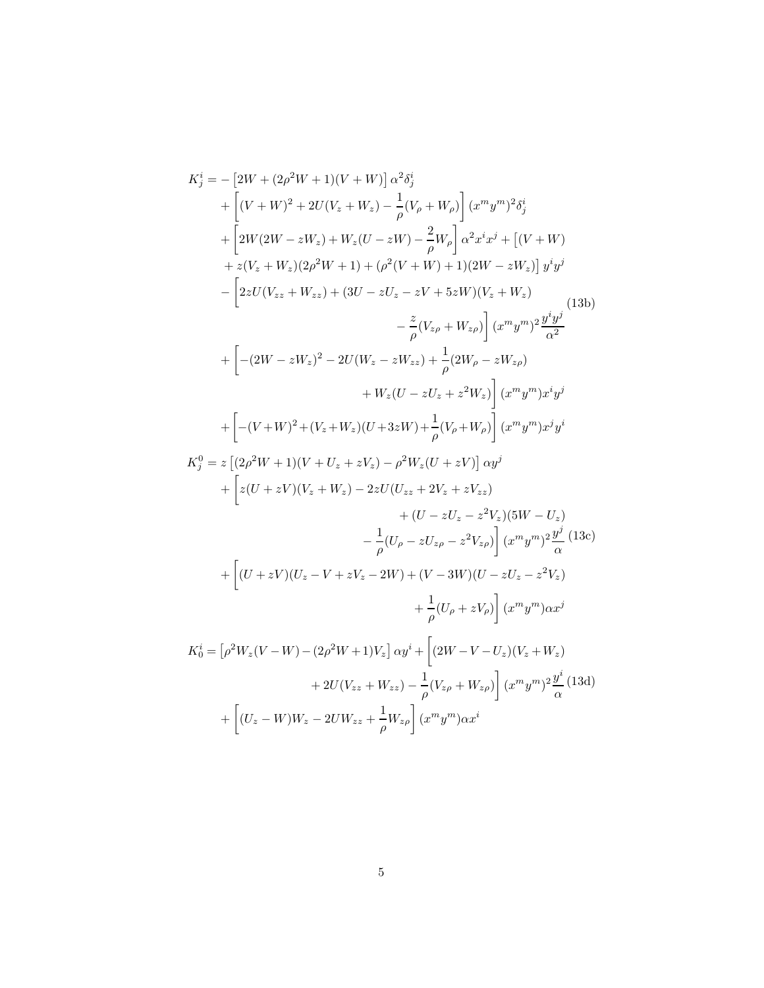$$
K_{j}^{i} = -[2W + (2\rho^{2}W + 1)(V + W)] \alpha^{2} \delta_{j}^{i}
$$
  
+ 
$$
\left[ (V + W)^{2} + 2U(V_{z} + W_{z}) - \frac{1}{\rho}(V_{\rho} + W_{\rho}) \right] (x^{m}y^{m})^{2} \delta_{j}^{i}
$$
  
+ 
$$
\left[ 2W(2W - zW_{z}) + W_{z}(U - zW) - \frac{2}{\rho}W_{\rho} \right] \alpha^{2}x^{i}x^{j} + [(V + W)
$$
  
+ 
$$
z(V_{z} + W_{z})(2\rho^{2}W + 1) + (\rho^{2}(V + W) + 1)(2W - zW_{z})] y^{i}y^{j}
$$
  
- 
$$
\left[ 2zU(V_{zz} + W_{zz}) + (3U - zU_{z} - zV + 5zW)(V_{z} + W_{z}) - \frac{z}{\rho}(V_{z\rho} + W_{z\rho}) \right] (x^{m}y^{m})^{2} \frac{y^{i}y^{j}}{\alpha^{2}}
$$
  
+ 
$$
\left[ -(2W - zW_{z})^{2} - 2U(W_{z} - zW_{zz}) + \frac{1}{\rho}(2W_{\rho} - zW_{z\rho}) + W_{z}(U - zU_{z} + z^{2}W_{z}) \right] (x^{m}y^{m})x^{i}y^{j}
$$
  
+ 
$$
\left[ -(V + W)^{2} + (V_{z} + W_{z})(U + 3zW) + \frac{1}{\rho}(V_{\rho} + W_{\rho}) \right] (x^{m}y^{m})x^{i}y^{j}
$$
  
+ 
$$
\left[ -(V + W)^{2} + (V_{z} + W_{z})(U - 3zW) + \frac{1}{\rho}(V_{\rho} + W_{\rho}) \right] (x^{m}y^{m})x^{j}y^{i}
$$
  
+ 
$$
\left[ z(U + zV)(V_{z} + W_{z}) - 2zU(U_{zz} + 2V_{z} + zV_{zz}) + (U - zU_{z} - z^{2}V_{z})(5W - U_{z}) - \frac{1}{\rho}(U_{\rho} - zU_{z\rho} - z^{2}V_{z\rho}) \right] (x^{m}y^{m})\frac{y^{j}}{\alpha^{2}} (13\alpha)
$$
  
+ <math display="</math>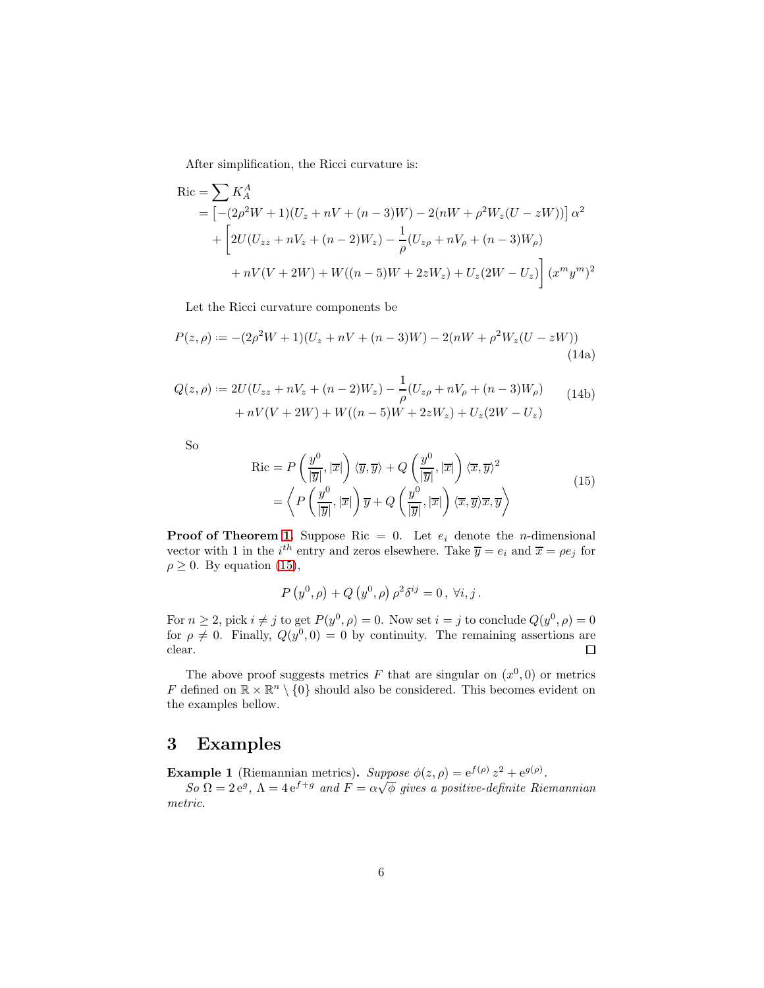After simplification, the Ricci curvature is:

$$
Ric = \sum K_A^A
$$
  
=  $[-(2\rho^2 W + 1)(U_z + nV + (n-3)W) - 2(nW + \rho^2 W_z(U - zW))]\alpha^2$   
+  $\left[2U(U_{zz} + nV_z + (n-2)W_z) - \frac{1}{\rho}(U_{z\rho} + nV_{\rho} + (n-3)W_{\rho}) + nV(V + 2W) + W((n-5)W + 2zW_z) + U_z(2W - U_z)\right](x^m y^m)^2$ 

Let the Ricci curvature components be

$$
P(z,\rho) := -(2\rho^2 W + 1)(U_z + nV + (n-3)W) - 2(nW + \rho^2 W_z(U - zW))
$$
\n(14a)

$$
Q(z,\rho) := 2U(U_{zz} + nV_z + (n-2)W_z) - \frac{1}{\rho}(U_{z\rho} + nV_\rho + (n-3)W_\rho) + nV(V + 2W) + W((n-5)W + 2zW_z) + U_z(2W - U_z)
$$
(14b)

So

$$
Ric = P\left(\frac{y^{0}}{|\overline{y}|}, |\overline{x}|\right) \langle \overline{y}, \overline{y} \rangle + Q\left(\frac{y^{0}}{|\overline{y}|}, |\overline{x}|\right) \langle \overline{x}, \overline{y} \rangle^{2}
$$

$$
= \left\langle P\left(\frac{y^{0}}{|\overline{y}|}, |\overline{x}|\right) \overline{y} + Q\left(\frac{y^{0}}{|\overline{y}|}, |\overline{x}|\right) \langle \overline{x}, \overline{y} \rangle \overline{x}, \overline{y} \right\rangle
$$
(15)

**Proof of Theorem [1.](#page-2-0)** Suppose Ric = 0. Let  $e_i$  denote the *n*-dimensional vector with 1 in the *i*<sup>th</sup> entry and zeros elsewhere. Take  $\overline{y} = e_i$  and  $\overline{x} = \rho e_j$  for  $\rho \geq 0$ . By equation [\(15\)](#page-3-0),

$$
P(y^{0}, \rho) + Q(y^{0}, \rho) \rho^{2} \delta^{ij} = 0, \forall i, j.
$$

For  $n \ge 2$ , pick  $i \ne j$  to get  $P(y^0, \rho) = 0$ . Now set  $i = j$  to conclude  $Q(y^0, \rho) = 0$ for  $\rho \neq 0$ . Finally,  $Q(y^0, 0) = 0$  by continuity. The remaining assertions are clear.  $\Box$ 

The above proof suggests metrics F that are singular on  $(x^0,0)$  or metrics  $F$  defined on  $\mathbb{R}\times \mathbb{R}^n\setminus \{0\}$  should also be considered. This becomes evident on the examples bellow.

### 3 Examples

**Example 1** (Riemannian metrics). Suppose  $\phi(z, \rho) = e^{f(\rho)} z^2 + e^{g(\rho)}$ .

 $So \Omega = 2e^g$ ,  $\Lambda = 4e^{f+g}$  and  $F = \alpha\sqrt{\phi}$  gives a positive-definite Riemannian metric.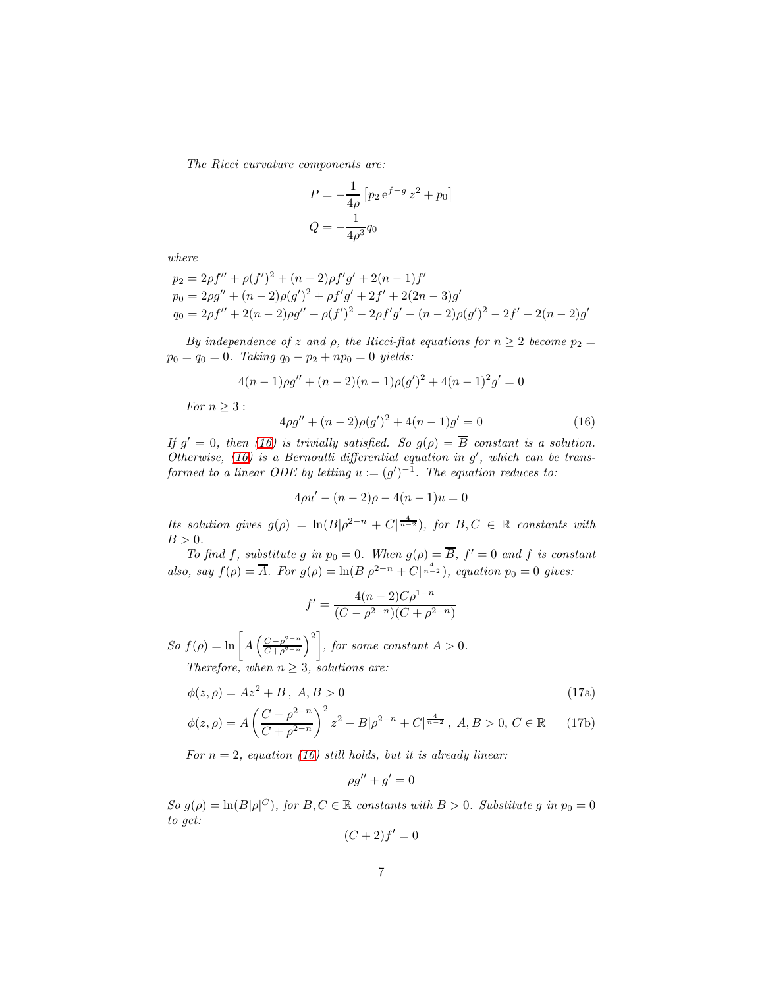The Ricci curvature components are:

$$
P = -\frac{1}{4\rho} \left[ p_2 e^{f-g} z^2 + p_0 \right]
$$
  

$$
Q = -\frac{1}{4\rho^3} q_0
$$

where

$$
p_2 = 2\rho f'' + \rho (f')^2 + (n-2)\rho f'g' + 2(n-1)f'
$$
  
\n
$$
p_0 = 2\rho g'' + (n-2)\rho (g')^2 + \rho f'g' + 2f' + 2(2n-3)g'
$$
  
\n
$$
q_0 = 2\rho f'' + 2(n-2)\rho g'' + \rho (f')^2 - 2\rho f'g' - (n-2)\rho (g')^2 - 2f' - 2(n-2)g'
$$

By independence of z and  $\rho$ , the Ricci-flat equations for  $n \geq 2$  become  $p_2 =$  $p_0 = q_0 = 0$ . Taking  $q_0 - p_2 + np_0 = 0$  yields:

<span id="page-6-0"></span>
$$
4(n-1)\rho g'' + (n-2)(n-1)\rho (g')^{2} + 4(n-1)^{2}g' = 0
$$

For  $n > 3$ :

$$
4\rho g'' + (n-2)\rho(g')^{2} + 4(n-1)g' = 0
$$
\n(16)

If  $g' = 0$ , then [\(16\)](#page-6-0) is trivially satisfied. So  $g(\rho) = \overline{B}$  constant is a solution. Otherwise, [\(16\)](#page-6-0) is a Bernoulli differential equation in  $g'$ , which can be transformed to a linear ODE by letting  $u := (g')^{-1}$ . The equation reduces to:

$$
4\rho u' - (n-2)\rho - 4(n-1)u = 0
$$

Its solution gives  $g(\rho) = \ln(B|\rho^{2-n} + C|^{\frac{4}{n-2}})$ , for  $B, C \in \mathbb{R}$  constants with  $B > 0$ .

To find f, substitute g in  $p_0 = 0$ . When  $g(\rho) = \overline{B}$ ,  $f' = 0$  and f is constant also, say  $f(\rho) = \overline{A}$ . For  $g(\rho) = \ln(B|\rho^{2-n} + C|^{\frac{4}{n-2}})$ , equation  $p_0 = 0$  gives:

$$
f' = \frac{4(n-2)C\rho^{1-n}}{(C-\rho^{2-n})(C+\rho^{2-n})}
$$

So  $f(\rho) = \ln \left[ A \left( \frac{C - \rho^{2-n}}{C + \rho^{2-n}} \right) \right]$  $C+\rho^{2-n}$  $\setminus^2$ , for some constant  $A > 0$ . Therefore, when  $n \geq 3$ , solutions are:

$$
\phi(z,\rho) = Az^2 + B \,,\ A, B > 0 \tag{17a}
$$

$$
\phi(z,\rho) = A \left( \frac{C - \rho^{2-n}}{C + \rho^{2-n}} \right)^2 z^2 + B|\rho^{2-n} + C|^{\frac{4}{n-2}}, \ A, B > 0, \ C \in \mathbb{R} \tag{17b}
$$

For  $n = 2$ , equation [\(16\)](#page-6-0) still holds, but it is already linear:

$$
\rho g'' + g' = 0
$$

So  $g(\rho) = \ln(B|\rho|^C)$ , for  $B, C \in \mathbb{R}$  constants with  $B > 0$ . Substitute g in  $p_0 = 0$ to get:

$$
(C+2)f'=0
$$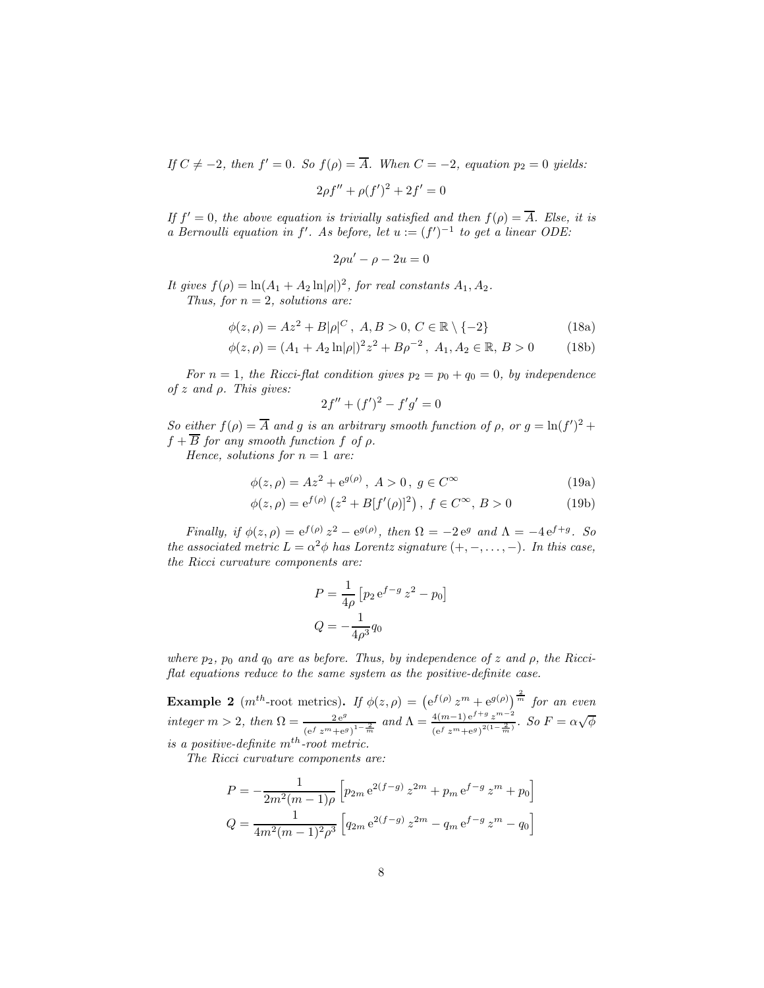If  $C \neq -2$ , then  $f' = 0$ . So  $f(\rho) = \overline{A}$ . When  $C = -2$ , equation  $p_2 = 0$  yields:

$$
2\rho f'' + \rho (f')^2 + 2f' = 0
$$

If  $f' = 0$ , the above equation is trivially satisfied and then  $f(\rho) = \overline{A}$ . Else, it is a Bernoulli equation in f'. As before, let  $u := (f')^{-1}$  to get a linear ODE:

$$
2\rho u' - \rho - 2u = 0
$$

It gives  $f(\rho) = \ln(A_1 + A_2 \ln|\rho|)^2$ , for real constants  $A_1, A_2$ . Thus, for  $n = 2$ , solutions are:

$$
\phi(z,\rho) = Az^2 + B|\rho|^C, \ A, B > 0, C \in \mathbb{R} \setminus \{-2\}
$$
 (18a)

$$
\phi(z,\rho) = (A_1 + A_2 \ln|\rho|)^2 z^2 + B\rho^{-2}, \ A_1, A_2 \in \mathbb{R}, \ B > 0 \tag{18b}
$$

For  $n = 1$ , the Ricci-flat condition gives  $p_2 = p_0 + q_0 = 0$ , by independence of z and  $\rho$ . This gives:

$$
2f'' + (f')^2 - f'g' = 0
$$

So either  $f(\rho) = \overline{A}$  and g is an arbitrary smooth function of  $\rho$ , or  $g = \ln(f')^2 +$  $f + B$  for any smooth function f of  $\rho$ .

Hence, solutions for  $n = 1$  are:

$$
\phi(z,\rho) = Az^2 + e^{g(\rho)}, \ A > 0, \ g \in C^{\infty}
$$
 (19a)

$$
\phi(z,\rho) = e^{f(\rho)} (z^2 + B[f'(\rho)]^2), \ f \in C^{\infty}, B > 0
$$
 (19b)

Finally, if  $\phi(z,\rho) = e^{f(\rho)}z^2 - e^{g(\rho)}$ , then  $\Omega = -2e^g$  and  $\Lambda = -4e^{f+g}$ . So the associated metric  $L = \alpha^2 \phi$  has Lorentz signature  $(+, -, ..., -)$ . In this case, the Ricci curvature components are:

$$
P = \frac{1}{4\rho} \left[ p_2 e^{f - g} z^2 - p_0 \right]
$$
  

$$
Q = -\frac{1}{4\rho^3} q_0
$$

where  $p_2$ ,  $p_0$  and  $q_0$  are as before. Thus, by independence of z and  $\rho$ , the Ricciflat equations reduce to the same system as the positive-definite case.

**Example 2** (m<sup>th</sup>-root metrics). If  $\phi(z,\rho) = (e^{f(\rho)} z^m + e^{g(\rho)})^{\frac{2}{m}}$  for an even integer  $m > 2$ , then  $\Omega = \frac{2e^g}{(e^f z^m + e^g)^{1-\frac{2}{m}}}$  and  $\Lambda = \frac{4(m-1)e^{f+g} z^{m-2}}{(e^f z^m + e^g)^{2(1-\frac{2}{m})}}$  $\frac{4(m-1)e^{f+g}z^{m-2}}{(e^f z^m+e^g)^{2(1-\frac{2}{m})}}$ . So  $F=\alpha\sqrt{\phi}$ is a positive-definite  $m^{th}$ -root metric.

The Ricci curvature components are:

$$
P = -\frac{1}{2m^2(m-1)\rho} \left[ p_{2m} e^{2(f-g)} z^{2m} + p_m e^{f-g} z^m + p_0 \right]
$$
  

$$
Q = \frac{1}{4m^2(m-1)^2 \rho^3} \left[ q_{2m} e^{2(f-g)} z^{2m} - q_m e^{f-g} z^m - q_0 \right]
$$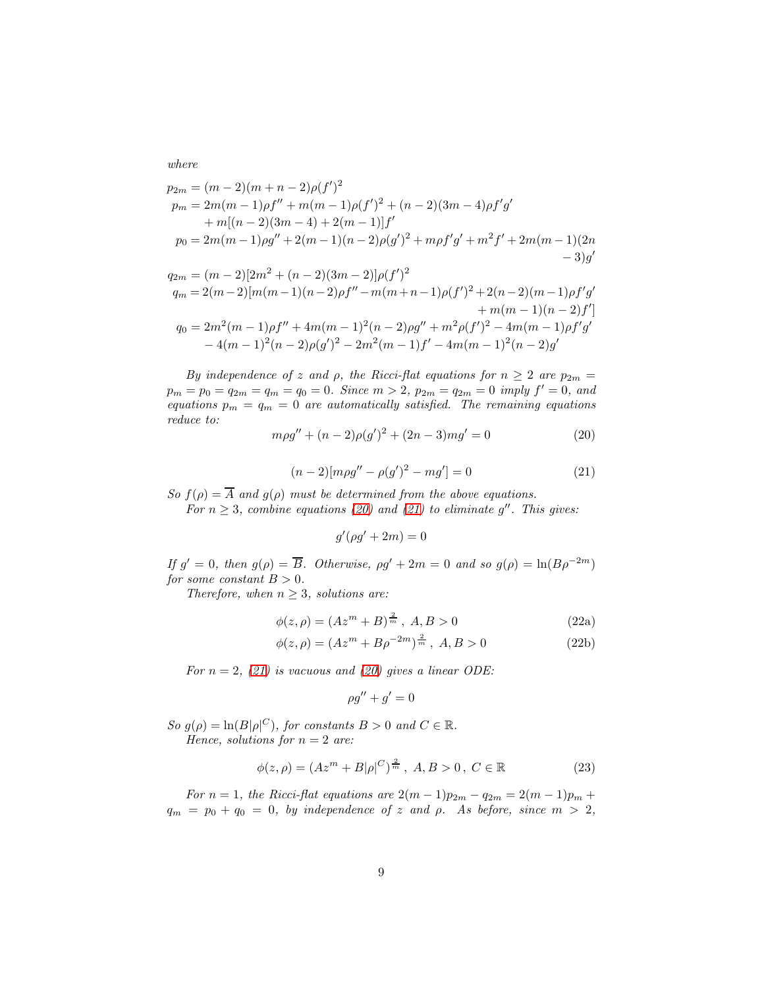where

$$
p_{2m} = (m-2)(m+n-2)\rho(f')^{2}
$$
  
\n
$$
p_{m} = 2m(m-1)\rho f'' + m(m-1)\rho(f')^{2} + (n-2)(3m-4)\rho f'g'
$$
  
\n
$$
+ m[(n-2)(3m-4) + 2(m-1)]f'
$$
  
\n
$$
p_{0} = 2m(m-1)\rho g'' + 2(m-1)(n-2)\rho(g')^{2} + m\rho f'g' + m^{2}f' + 2m(m-1)(2m-3)g'
$$

$$
q_{2m} = (m-2)[2m^2 + (n-2)(3m-2)]\rho(f')^2
$$
  
\n
$$
q_m = 2(m-2)[m(m-1)(n-2)\rho f'' - m(m+n-1)\rho(f')^2 + 2(n-2)(m-1)\rho f'g' + m(m-1)(n-2)f']
$$
  
\n
$$
q_0 = 2m^2(m-1)\rho f'' + 4m(m-1)^2(n-2)\rho g'' + m^2\rho(f')^2 - 4m(m-1)\rho f'g' - 4(m-1)^2(n-2)\rho(g')^2 - 2m^2(m-1)f' - 4m(m-1)^2(n-2)g'
$$

By independence of z and  $\rho$ , the Ricci-flat equations for  $n \geq 2$  are  $p_{2m} =$  $p_m = p_0 = q_{2m} = q_m = q_0 = 0$ . Since  $m > 2$ ,  $p_{2m} = q_{2m} = 0$  imply  $f' = 0$ , and equations  $p_m = q_m = 0$  are automatically satisfied. The remaining equations reduce to:

<span id="page-8-0"></span>
$$
m\rho g'' + (n-2)\rho (g')^2 + (2n-3)mg' = 0
$$
\n(20)

$$
(n-2)[mg'' - \rho(g')^2 - mg'] = 0
$$
\n(21)

<span id="page-8-1"></span>So  $f(\rho) = \overline{A}$  and  $g(\rho)$  must be determined from the above equations.

For  $n \geq 3$ , combine equations [\(20\)](#page-8-0) and [\(21\)](#page-8-1) to eliminate g''. This gives:

$$
g'(\rho g' + 2m) = 0
$$

If  $g' = 0$ , then  $g(\rho) = \overline{B}$ . Otherwise,  $\rho g' + 2m = 0$  and so  $g(\rho) = \ln(B\rho^{-2m})$ for some constant  $B > 0$ .

Therefore, when  $n \geq 3$ , solutions are:

$$
\phi(z,\rho) = (Az^m + B)^{\frac{2}{m}}, \ A, B > 0 \tag{22a}
$$

$$
\phi(z,\rho) = (Az^m + B\rho^{-2m})^{\frac{2}{m}}, \ A, B > 0 \tag{22b}
$$

For  $n = 2$ , [\(21\)](#page-8-1) is vacuous and [\(20\)](#page-8-0) gives a linear ODE:

$$
\rho g'' + g' = 0
$$

So  $g(\rho) = \ln(B|\rho|^C)$ , for constants  $B > 0$  and  $C \in \mathbb{R}$ . Hence, solutions for  $n = 2$  are:

$$
\phi(z,\rho) = (Az^m + B|\rho|^C)^{\frac{2}{m}}, \ A, B > 0, \ C \in \mathbb{R}
$$
 (23)

For  $n = 1$ , the Ricci-flat equations are  $2(m-1)p_{2m} - q_{2m} = 2(m-1)p_m +$  $q_m = p_0 + q_0 = 0$ , by independence of z and  $\rho$ . As before, since  $m > 2$ ,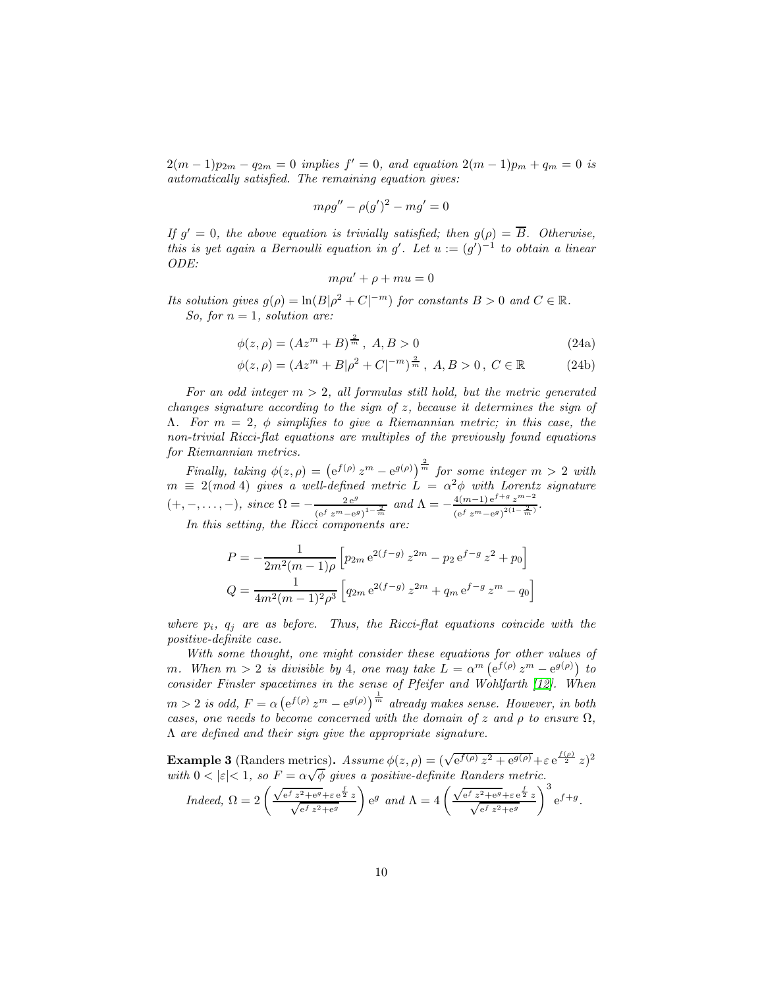$2(m-1)p_{2m} - q_{2m} = 0$  implies  $f' = 0$ , and equation  $2(m-1)p_m + q_m = 0$  is automatically satisfied. The remaining equation gives:

$$
m\rho g'' - \rho (g')^2 - mg' = 0
$$

If  $g' = 0$ , the above equation is trivially satisfied; then  $g(\rho) = \overline{B}$ . Otherwise, this is yet again a Bernoulli equation in g'. Let  $u := (g')^{-1}$  to obtain a linear ODE:

$$
m\rho u' + \rho + mu = 0
$$

Its solution gives  $g(\rho) = \ln(B|\rho^2 + C|^{-m})$  for constants  $B > 0$  and  $C \in \mathbb{R}$ . So, for  $n = 1$ , solution are:

$$
\phi(z,\rho) = (Az^m + B)^{\frac{2}{m}}, \ A, B > 0 \tag{24a}
$$

$$
\phi(z,\rho) = (Az^m + B|\rho^2 + C|^{-m})^{\frac{2}{m}}, \ A, B > 0, \ C \in \mathbb{R}
$$
 (24b)

For an odd integer  $m > 2$ , all formulas still hold, but the metric generated changes signature according to the sign of z, because it determines the sign of  $Λ.$  For  $m = 2$ ,  $φ$  simplifies to give a Riemannian metric; in this case, the non-trivial Ricci-flat equations are multiples of the previously found equations for Riemannian metrics.

Finally, taking  $\phi(z,\rho) = (e^{f(\rho)}z^m - e^{g(\rho)})^{\frac{2}{m}}$  for some integer  $m > 2$  with  $m \equiv 2 \pmod{4}$  gives a well-defined metric  $\tilde{L} = \alpha^2 \phi$  with Lorentz signature  $(+,-,\ldots,-),\ since\ \Omega=-\frac{2\,\mathrm{e}^g}{\left(\mathrm{e}^f\,z^m-\mathrm{e}^g\right)}$  $\frac{2e^g}{(e^f z^m - e^g)^{1-\frac{2}{m}}}$  and  $\Lambda = -\frac{4(m-1)e^{f+g} z^{m-2}}{(e^f z^m - e^g)^{2(1-\frac{2}{m})}}$  $\frac{4(m-1)e^{s/3}z}{(e^f z^m - e^g)^{2(1-\frac{2}{m})}}$ .

In this setting, the Ricci components are:

$$
P = -\frac{1}{2m^2(m-1)\rho} \left[ p_{2m} e^{2(f-g)} z^{2m} - p_2 e^{f-g} z^2 + p_0 \right]
$$
  

$$
Q = \frac{1}{4m^2(m-1)^2 \rho^3} \left[ q_{2m} e^{2(f-g)} z^{2m} + q_m e^{f-g} z^m - q_0 \right]
$$

where  $p_i$ ,  $q_i$  are as before. Thus, the Ricci-flat equations coincide with the positive-definite case.

With some thought, one might consider these equations for other values of m. When  $m > 2$  is divisible by 4, one may take  $L = \alpha^m \left( e^{f(\rho)} z^m - e^{g(\rho)} \right)$  to consider Finsler spacetimes in the sense of Pfeifer and Wohlfarth [\[12\]](#page-15-10). When  $m > 2$  is odd,  $F = \alpha \left(e^{f(\rho)} z^m - e^{g(\rho)}\right)^{\frac{1}{m}}$  already makes sense. However, in both cases, one needs to become concerned with the domain of z and  $\rho$  to ensure  $\Omega$ , Λ are defined and their sign give the appropriate signature.

**Example 3** (Randers metrics). Assume  $\phi(z, \rho) = (\sqrt{e^{f(\rho)} z^2 + e^{g(\rho)}} + \varepsilon e^{\frac{f(\rho)}{2}} z)^2$ with  $0 < |\varepsilon| < 1$ , so  $F = \alpha \sqrt{\phi}$  gives a positive-definite Randers metric.

$$
Indeed, \Omega = 2\left(\frac{\sqrt{e^f z^2 + e^g} + \varepsilon e^{\frac{f}{2}} z}{\sqrt{e^f z^2 + e^g}}\right) e^g \ and \ \Lambda = 4\left(\frac{\sqrt{e^f z^2 + e^g} + \varepsilon e^{\frac{f}{2}} z}{\sqrt{e^f z^2 + e^g}}\right)^3 e^{f+g}.
$$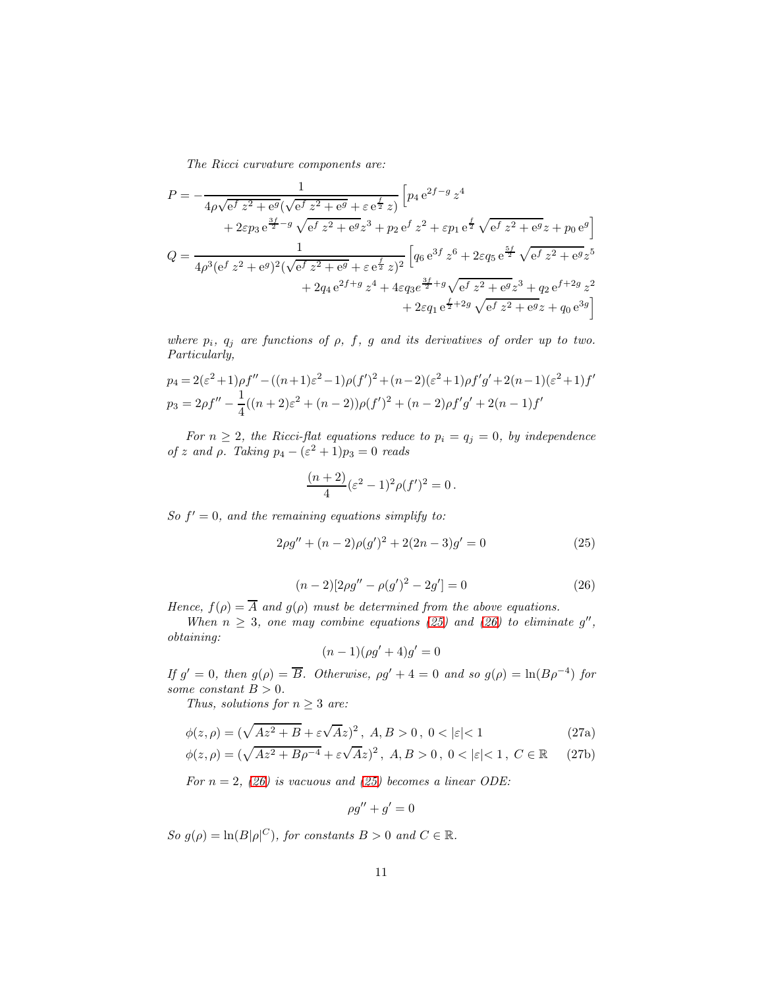The Ricci curvature components are:

$$
P = -\frac{1}{4\rho\sqrt{e^f z^2 + e^g}(\sqrt{e^f z^2 + e^g} + \varepsilon e^{\frac{f}{2}} z)} \left[ p_4 e^{2f - g} z^4 + 2\varepsilon p_3 e^{\frac{3f}{2} - g} \sqrt{e^f z^2 + e^g z^3} + p_2 e^f z^2 + \varepsilon p_1 e^{\frac{f}{2}} \sqrt{e^f z^2 + e^g} z + p_0 e^g \right]
$$
  

$$
Q = \frac{1}{4\rho^3 (e^f z^2 + e^g)^2 (\sqrt{e^f z^2 + e^g} + \varepsilon e^{\frac{f}{2}} z)^2} \left[ q_6 e^{3f} z^6 + 2\varepsilon q_5 e^{\frac{5f}{2}} \sqrt{e^f z^2 + e^g} z^5 + 2q_4 e^{2f + g} z^4 + 4\varepsilon q_3 e^{\frac{3f}{2} + g} \sqrt{e^f z^2 + e^g} z^3 + q_2 e^{f + 2g} z^2 + 2\varepsilon q_1 e^{\frac{f}{2} + 2g} \sqrt{e^f z^2 + e^g} z + q_0 e^{3g} \right]
$$

where  $p_i$ ,  $q_j$  are functions of  $\rho$ ,  $f$ ,  $g$  and its derivatives of order up to two. Particularly,

$$
p_4 = 2(\varepsilon^2 + 1)\rho f'' - ((n+1)\varepsilon^2 - 1)\rho(f')^2 + (n-2)(\varepsilon^2 + 1)\rho f'g' + 2(n-1)(\varepsilon^2 + 1)f'
$$
  
\n
$$
p_3 = 2\rho f'' - \frac{1}{4}((n+2)\varepsilon^2 + (n-2))\rho(f')^2 + (n-2)\rho f'g' + 2(n-1)f'
$$

For  $n \geq 2$ , the Ricci-flat equations reduce to  $p_i = q_j = 0$ , by independence of z and  $\rho$ . Taking  $p_4 - (\varepsilon^2 + 1)p_3 = 0$  reads

<span id="page-10-1"></span>
$$
\frac{(n+2)}{4}(\varepsilon^2 - 1)^2 \rho(f')^2 = 0.
$$

So  $f' = 0$ , and the remaining equations simplify to:

$$
2\rho g'' + (n-2)\rho (g')^2 + 2(2n-3)g' = 0
$$
\n(25)

$$
(n-2)[2\rho g'' - \rho (g')^2 - 2g'] = 0
$$
\n(26)

<span id="page-10-2"></span>Hence,  $f(\rho) = \overline{A}$  and  $g(\rho)$  must be determined from the above equations.

When  $n \geq 3$ , one may combine equations [\(25\)](#page-10-1) and [\(26\)](#page-10-2) to eliminate g'', obtaining:

$$
(n-1)(\rho g' + 4)g' = 0
$$

If  $g' = 0$ , then  $g(\rho) = \overline{B}$ . Otherwise,  $\rho g' + 4 = 0$  and so  $g(\rho) = \ln(B\rho^{-4})$  for some constant  $B > 0$ .

Thus, solutions for  $n \geq 3$  are:

$$
\phi(z,\rho) = (\sqrt{Az^2 + B} + \varepsilon\sqrt{A}z)^2, \quad A, B > 0, \quad 0 < |\varepsilon| < 1 \tag{27a}
$$

$$
\phi(z,\rho) = (\sqrt{Az^2 + B\rho^{-4}} + \varepsilon\sqrt{A}z)^2, \ A, B > 0, \ 0 < |\varepsilon| < 1, \ C \in \mathbb{R}
$$
 (27b)

For  $n = 2$ , [\(26\)](#page-10-2) is vacuous and [\(25\)](#page-10-1) becomes a linear ODE:

<span id="page-10-0"></span>
$$
\rho g'' + g' = 0
$$

So  $g(\rho) = \ln(B|\rho|^C)$ , for constants  $B > 0$  and  $C \in \mathbb{R}$ .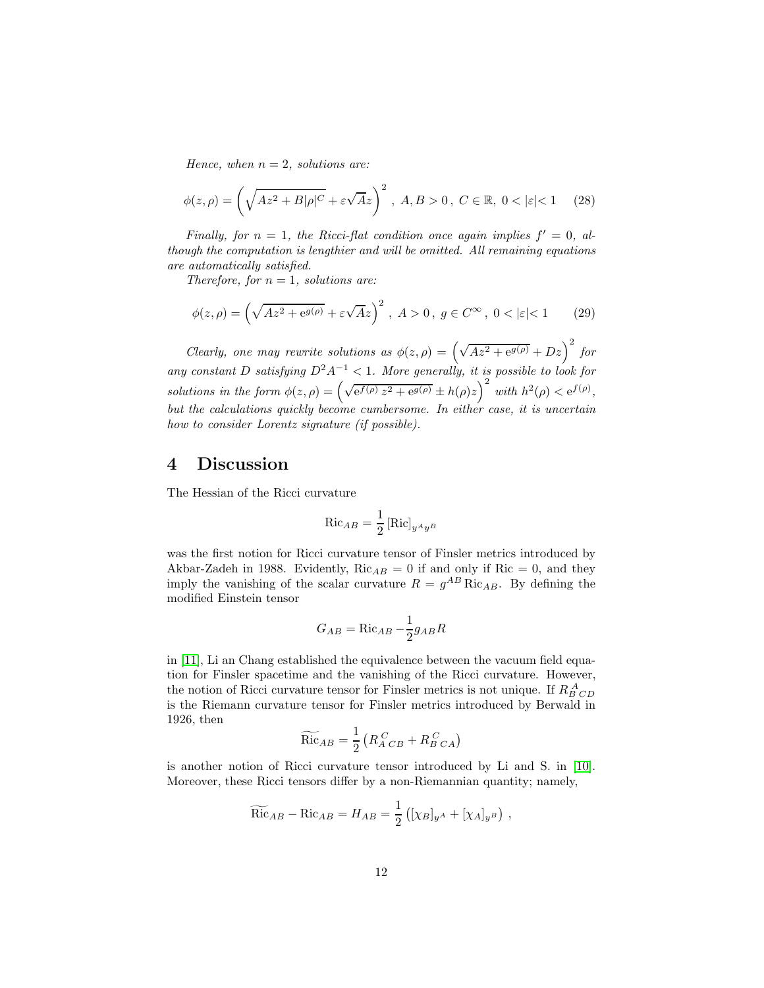Hence, when  $n = 2$ , solutions are:

$$
\phi(z,\rho) = \left(\sqrt{Az^2 + B|\rho|^C} + \varepsilon\sqrt{Az}\right)^2, \ A, B > 0, \ C \in \mathbb{R}, \ 0 < |\varepsilon| < 1 \tag{28}
$$

Finally, for  $n = 1$ , the Ricci-flat condition once again implies  $f' = 0$ , although the computation is lengthier and will be omitted. All remaining equations are automatically satisfied.

Therefore, for  $n = 1$ , solutions are:

$$
\phi(z,\rho) = \left(\sqrt{Az^2 + e^{g(\rho)}} + \varepsilon \sqrt{A}z\right)^2, \ A > 0, \ g \in C^\infty, \ 0 < |\varepsilon| < 1 \tag{29}
$$

Clearly, one may rewrite solutions as  $\phi(z,\rho) = \left(\sqrt{Az^2 + e^{g(\rho)}} + Dz\right)^2$  for any constant D satisfying  $D^2A^{-1} < 1$ . More generally, it is possible to look for solutions in the form  $\phi(z,\rho) = \left(\sqrt{e^{f(\rho)} z^2 + e^{g(\rho)}} \pm h(\rho)z\right)^2$  with  $h^2(\rho) < e^{f(\rho)}$ , but the calculations quickly become cumbersome. In either case, it is uncertain how to consider Lorentz signature (if possible).

### 4 Discussion

The Hessian of the Ricci curvature

$$
\operatorname{Ric}_{AB} = \frac{1}{2} \left[ \operatorname{Ric} \right]_{y^A y^B}
$$

was the first notion for Ricci curvature tensor of Finsler metrics introduced by Akbar-Zadeh in 1988. Evidently,  $Ric_{AB} = 0$  if and only if  $Ric = 0$ , and they imply the vanishing of the scalar curvature  $R = g^{AB}$  Ric<sub>AB</sub>. By defining the modified Einstein tensor

$$
G_{AB} = \text{Ric}_{AB} - \frac{1}{2}g_{AB}R
$$

in [\[11\]](#page-15-8), Li an Chang established the equivalence between the vacuum field equation for Finsler spacetime and the vanishing of the Ricci curvature. However, the notion of Ricci curvature tensor for Finsler metrics is not unique. If  $R_{B\ CD}^{\ A}$ is the Riemann curvature tensor for Finsler metrics introduced by Berwald in 1926, then

$$
\widetilde{\text{Ric}}_{AB} = \frac{1}{2} \left( R_{A \ CB}^{C} + R_{B \ CA}^{C} \right)
$$

is another notion of Ricci curvature tensor introduced by Li and S. in [\[10\]](#page-15-11). Moreover, these Ricci tensors differ by a non-Riemannian quantity; namely,

$$
\widetilde{\text{Ric}}_{AB} - \text{Ric}_{AB} = H_{AB} = \frac{1}{2} \left( [\chi_B]_{y^A} + [\chi_A]_{y^B} \right) ,
$$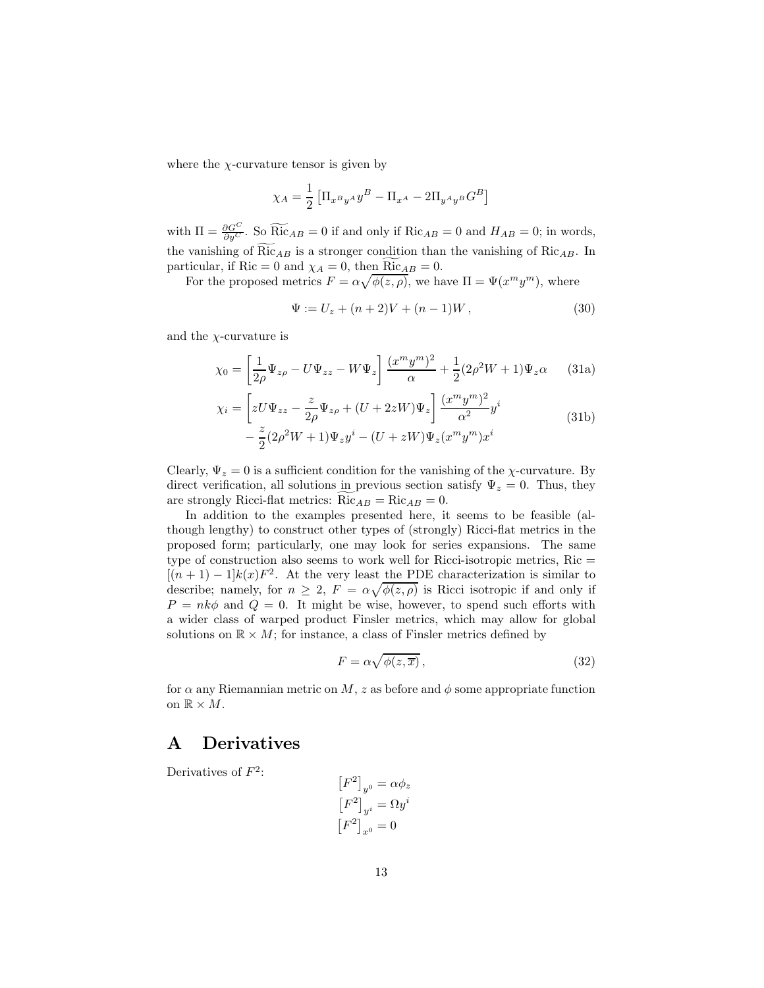where the  $\chi$ -curvature tensor is given by

$$
\chi_A = \frac{1}{2} \left[ \Pi_{x^By^A} y^B - \Pi_{x^A} - 2\Pi_{y^Ay^B} G^B \right]
$$

with  $\Pi = \frac{\partial G^C}{\partial y^C}$ . So  $\widetilde{Ric}_{AB} = 0$  if and only if  $Ric_{AB} = 0$  and  $H_{AB} = 0$ ; in words, the vanishing of  $Ric_{AB}$  is a stronger condition than the vanishing of  $Ric_{AB}$ . In particular, if Ric = 0 and  $\chi_A = 0$ , then Ric<sub>AB</sub> = 0.

For the proposed metrics  $F = \alpha \sqrt{\phi(z,\rho)}$ , we have  $\Pi = \Psi(x^m y^m)$ , where

$$
\Psi := U_z + (n+2)V + (n-1)W, \tag{30}
$$

and the  $\chi$ -curvature is

$$
\chi_0 = \left[\frac{1}{2\rho}\Psi_{z\rho} - U\Psi_{zz} - W\Psi_z\right] \frac{(x^m y^m)^2}{\alpha} + \frac{1}{2}(2\rho^2 W + 1)\Psi_z \alpha \qquad (31a)
$$

$$
\chi_i = \left[ zU\Psi_{zz} - \frac{z}{2\rho}\Psi_{z\rho} + (U + 2zW)\Psi_z \right] \frac{(x^m y^m)^2}{\alpha^2} y^i
$$
  

$$
- \frac{z}{2}(2\rho^2 W + 1)\Psi_z y^i - (U + zW)\Psi_z (x^m y^m) x^i
$$
 (31b)

Clearly,  $\Psi_z = 0$  is a sufficient condition for the vanishing of the *χ*-curvature. By direct verification, all solutions in previous section satisfy  $\Psi_z = 0$ . Thus, they are strongly Ricci-flat metrics:  $Ric_{AB} = Ric_{AB} = 0$ .

In addition to the examples presented here, it seems to be feasible (although lengthy) to construct other types of (strongly) Ricci-flat metrics in the proposed form; particularly, one may look for series expansions. The same type of construction also seems to work well for Ricci-isotropic metrics,  $Ric =$  $[(n+1)-1]k(x)F^2$ . At the very least the PDE characterization is similar to describe; namely, for  $n \geq 2$ ,  $F = \alpha \sqrt{\phi(z,\rho)}$  is Ricci isotropic if and only if  $P = n k \phi$  and  $Q = 0$ . It might be wise, however, to spend such efforts with a wider class of warped product Finsler metrics, which may allow for global solutions on  $\mathbb{R} \times M$ ; for instance, a class of Finsler metrics defined by

$$
F = \alpha \sqrt{\phi(z, \overline{x})},\tag{32}
$$

for  $\alpha$  any Riemannian metric on M, z as before and  $\phi$  some appropriate function on  $\mathbb{R} \times M$ .

### A Derivatives

Derivatives of  $F^2$ : -

$$
[F^2]_{y^0} = \alpha \phi_z
$$

$$
[F^2]_{y^i} = \Omega y^i
$$

$$
[F^2]_{x^0} = 0
$$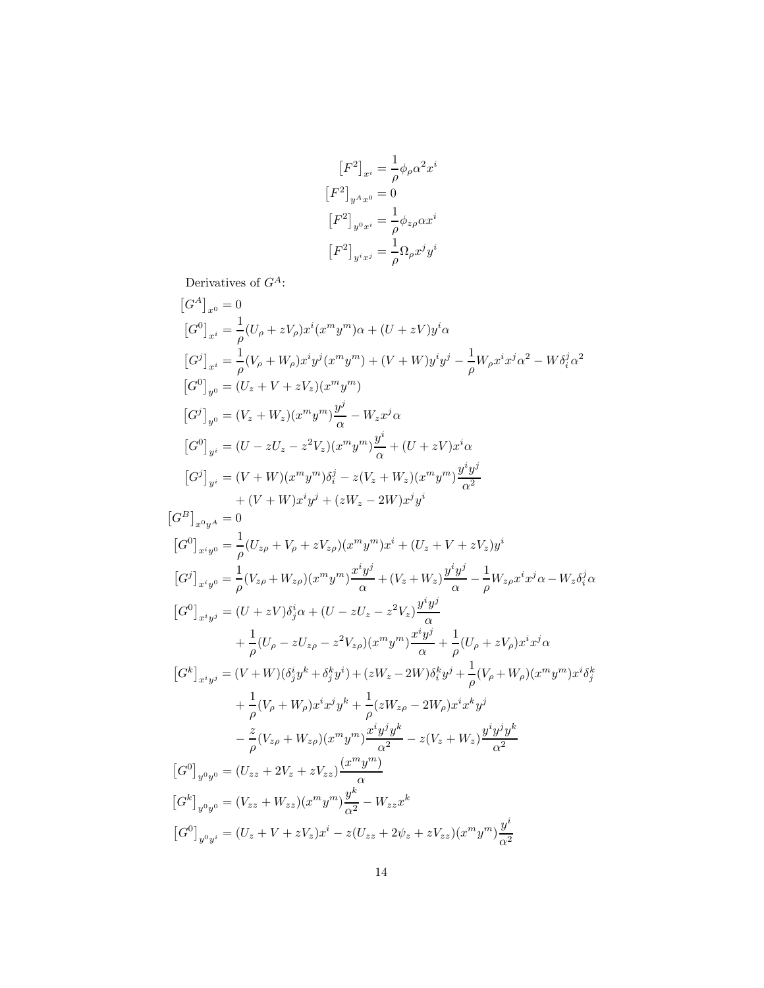$$
\begin{aligned}\n\left[F^2\right]_{x^i} &= \frac{1}{\rho} \phi_\rho \alpha^2 x^i \\
\left[F^2\right]_{y^A x^0} &= 0 \\
\left[F^2\right]_{y^0 x^i} &= \frac{1}{\rho} \phi_{z\rho} \alpha x^i \\
\left[F^2\right]_{y^i x^j} &= \frac{1}{\rho} \Omega_\rho x^j y^i\n\end{aligned}
$$

Derivatives of  $G^A$ :

$$
[G^{A}]_{x^{0}} = 0
$$
  
\n
$$
[G^{0}]_{x^{i}} = \frac{1}{\rho}(U_{\rho} + zV_{\rho})x^{i}(x^{m}y^{m})\alpha + (U + zV)y^{i}\alpha
$$
  
\n
$$
[G^{j}]_{x^{i}} = \frac{1}{\rho}(V_{\rho} + W_{\rho})x^{i}y^{i}(x^{m}y^{m}) + (V + W)y^{i}y^{j} - \frac{1}{\rho}W_{\rho}x^{i}x^{j}\alpha^{2} - W\delta_{i}^{j}\alpha^{2}
$$
  
\n
$$
[G^{0}]_{y^{0}} = (U_{z} + V + zV_{z})(x^{m}y^{m})
$$
  
\n
$$
[G^{j}]_{y^{0}} = (V_{z} + W_{z})(x^{m}y^{m})\frac{y^{j}}{\alpha} - W_{z}x^{j}\alpha
$$
  
\n
$$
[G^{0}]_{y^{i}} = (U - zU_{z} - z^{2}V_{z})(x^{m}y^{m})\frac{y^{i}}{\alpha} + (U + zV)x^{i}\alpha
$$
  
\n
$$
[G^{j}]_{y^{i}} = (V + W)(x^{m}y^{m})\delta_{i}^{j} - z(V_{z} + W_{z})(x^{m}y^{m})\frac{y^{i}y^{j}}{\alpha^{2}}
$$
  
\n
$$
+ (V + W)x^{i}y^{j} + (zW_{z} - 2W)x^{j}y^{i}
$$
  
\n
$$
[G^{0}]_{x^{i}y^{0}} = \frac{1}{\rho}(U_{z\rho} + V_{\rho} + zV_{z\rho})(x^{m}y^{m})x^{i} + (U_{z} + V + zV_{z})y^{i}
$$
  
\n
$$
[G^{0}]_{x^{i}y^{0}} = \frac{1}{\rho}(V_{z\rho} + W_{z\rho})(x^{m}y^{m})\frac{x^{i}y^{j}}{\alpha} + (V_{z} + W_{z})\frac{y^{i}y^{j}}{\alpha} - \frac{1}{\rho}W_{z\rho}x^{i}x^{j}\alpha - W_{z}\delta_{i}^{j}\alpha
$$
  
\n
$$
[G^{0}]_{x^{i}y^{j}} = (U + zV)\delta_{j}^{i}\alpha + (U - zU_{z} - z^{2}V_{z
$$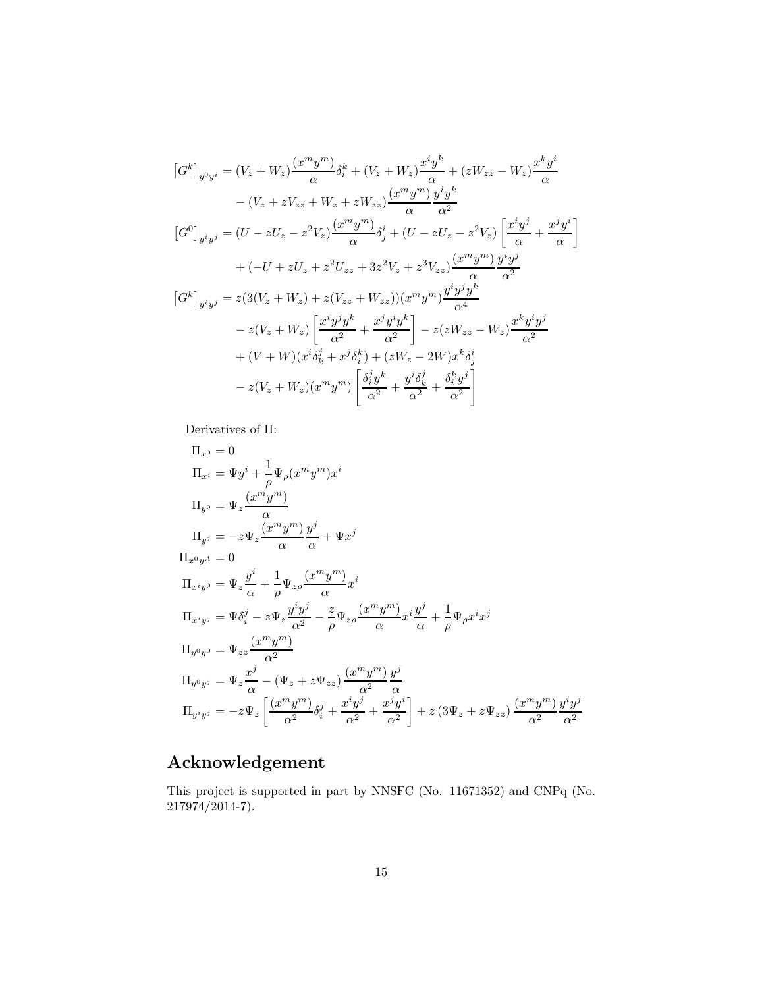$$
[G^{k}]_{y^{0}y^{i}} = (V_{z} + W_{z}) \frac{(x^{m}y^{m})}{\alpha} \delta_{i}^{k} + (V_{z} + W_{z}) \frac{x^{i}y^{k}}{\alpha} + (zW_{zz} - W_{z}) \frac{x^{k}y^{i}}{\alpha}
$$
  
\n
$$
- (V_{z} + zV_{zz} + W_{z} + zW_{zz}) \frac{(x^{m}y^{m})}{\alpha} \frac{y^{i}y^{k}}{\alpha^{2}}
$$
  
\n
$$
[G^{0}]_{y^{i}y^{j}} = (U - zU_{z} - z^{2}V_{z}) \frac{(x^{m}y^{m})}{\alpha} \delta_{j}^{i} + (U - zU_{z} - z^{2}V_{z}) \left[ \frac{x^{i}y^{j}}{\alpha} + \frac{x^{j}y^{i}}{\alpha} \right]
$$
  
\n
$$
+ (-U + zU_{z} + z^{2}U_{zz} + 3z^{2}V_{z} + z^{3}V_{zz}) \frac{(x^{m}y^{m})}{\alpha} \frac{y^{i}y^{j}}{\alpha^{2}}
$$
  
\n
$$
[G^{k}]_{y^{i}y^{j}} = z(3(V_{z} + W_{z}) + z(V_{zz} + W_{zz})) (x^{m}y^{m}) \frac{y^{i}y^{j}y^{k}}{\alpha^{4}}
$$
  
\n
$$
- z(V_{z} + W_{z}) \left[ \frac{x^{i}y^{j}y^{k}}{\alpha^{2}} + \frac{x^{j}y^{i}y^{k}}{\alpha^{2}} \right] - z(zW_{zz} - W_{z}) \frac{x^{k}y^{i}y^{j}}{\alpha^{2}}
$$
  
\n
$$
+ (V + W)(x^{i}\delta_{k}^{j} + x^{j}\delta_{i}^{k}) + (zW_{z} - 2W)x^{k}\delta_{j}^{i}
$$
  
\n
$$
- z(V_{z} + W_{z})(x^{m}y^{m}) \left[ \frac{\delta_{i}^{j}y^{k}}{\alpha^{2}} + \frac{y^{i}\delta_{k}^{j}}{\alpha^{2}} + \frac{\delta_{i}^{k}y^{j}}{\alpha^{2}} \right]
$$

Derivatives of Π:

$$
\Pi_{x^{0}} = 0
$$
\n
$$
\Pi_{x^{i}} = \Psi y^{i} + \frac{1}{\rho} \Psi_{\rho} (x^{m} y^{m}) x^{i}
$$
\n
$$
\Pi_{y^{0}} = \Psi_{z} \frac{(x^{m} y^{m})}{\alpha}
$$
\n
$$
\Pi_{y^{j}} = -z \Psi_{z} \frac{(x^{m} y^{m})}{\alpha} \frac{y^{j}}{\alpha} + \Psi x^{j}
$$
\n
$$
\Pi_{x^{0} y^{A}} = 0
$$
\n
$$
\Pi_{x^{i} y^{0}} = \Psi_{z} \frac{y^{i}}{\alpha} + \frac{1}{\rho} \Psi_{z\rho} \frac{(x^{m} y^{m})}{\alpha} x^{i}
$$
\n
$$
\Pi_{x^{i} y^{j}} = \Psi \delta_{i}^{j} - z \Psi_{z} \frac{y^{i} y^{j}}{\alpha^{2}} - \frac{z}{\rho} \Psi_{z\rho} \frac{(x^{m} y^{m})}{\alpha} x^{i} \frac{y^{j}}{\alpha} + \frac{1}{\rho} \Psi_{\rho} x^{i} x^{j}
$$
\n
$$
\Pi_{y^{0} y^{0}} = \Psi_{zz} \frac{(x^{m} y^{m})}{\alpha^{2}}
$$
\n
$$
\Pi_{y^{0} y^{j}} = \Psi_{z} \frac{x^{j}}{\alpha} - (\Psi_{z} + z \Psi_{zz}) \frac{(x^{m} y^{m})}{\alpha^{2}} \frac{y^{j}}{\alpha}
$$
\n
$$
\Pi_{y^{i} y^{j}} = -z \Psi_{z} \left[ \frac{(x^{m} y^{m})}{\alpha^{2}} \delta_{i}^{j} + \frac{x^{i} y^{j}}{\alpha^{2}} + \frac{x^{j} y^{i}}{\alpha^{2}} \right] + z (3 \Psi_{z} + z \Psi_{zz}) \frac{(x^{m} y^{m})}{\alpha^{2}} \frac{y^{i} y^{j}}{\alpha^{2}}
$$

# Acknowledgement

This project is supported in part by NNSFC (No. 11671352) and CNPq (No.  $217974/2014-7$ ).